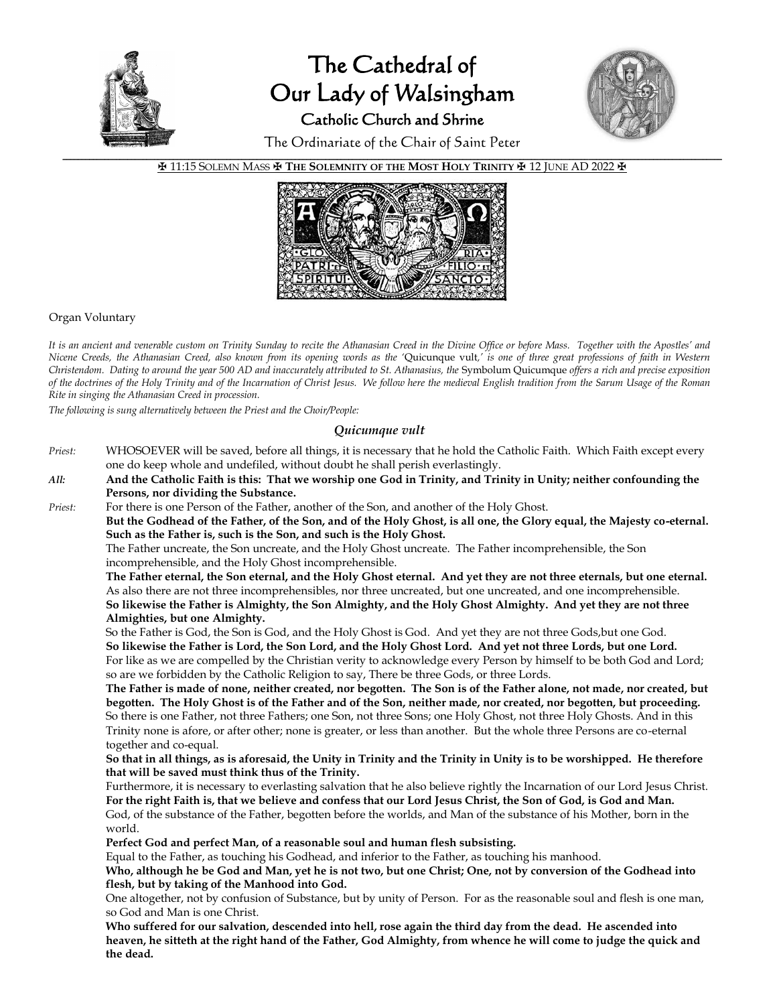

# The Cathedral of Our Lady of Walsingham Catholic Church and Shrine



The Ordinariate of the Chair of Saint Peter

✠ 11:15 SOLEMN MASS ✠ **THE SOLEMNITY OF THE MOST HOLY TRINITY** ✠ 12 JUNE AD 2022 ✠



### Organ Voluntary

*It is an ancient and venerable custom on Trinity Sunday to recite the Athanasian Creed in the Divine Office or before Mass. Together with the Apostles' and Nicene Creeds, the Athanasian Creed, also known from its opening words as the '*Quicunque vult*,' is one of three great professions of faith in Western Christendom. Dating to around the year 500 AD and inaccurately attributed to St. Athanasius, the* Symbolum Quicumque *offers a rich and precise exposition of the doctrines of the Holy Trinity and of the Incarnation of Christ Jesus. We follow here the medieval English tradition from the Sarum Usage of the Roman Rite in singing the Athanasian Creed in procession.*

*The following is sung alternatively between the Priest and the Choir/People:*

## *Quicumque vult*

- *Priest:* WHOSOEVER will be saved, before all things, it is necessary that he hold the Catholic Faith. Which Faith except every one do keep whole and undefiled, without doubt he shall perish everlastingly.
- *All:* **And the Catholic Faith is this: That we worship one God in Trinity, and Trinity in Unity; neither confounding the Persons, nor dividing the Substance.**
- *Priest:* For there is one Person of the Father, another of the Son, and another of the Holy Ghost.

**But the Godhead of the Father, of the Son, and of the Holy Ghost, is all one, the Glory equal, the Majesty co-eternal. Such as the Father is, such is the Son, and such is the Holy Ghost.**

The Father uncreate, the Son uncreate, and the Holy Ghost uncreate. The Father incomprehensible, the Son incomprehensible, and the Holy Ghost incomprehensible.

**The Father eternal, the Son eternal, and the Holy Ghost eternal. And yet they are not three eternals, but one eternal.** As also there are not three incomprehensibles, nor three uncreated, but one uncreated, and one incomprehensible. **So likewise the Father is Almighty, the Son Almighty, and the Holy Ghost Almighty. And yet they are not three Almighties, but one Almighty.**

So the Father is God, the Son is God, and the Holy Ghost is God. And yet they are not three Gods,but one God. **So likewise the Father is Lord, the Son Lord, and the Holy Ghost Lord. And yet not three Lords, but one Lord.** For like as we are compelled by the Christian verity to acknowledge every Person by himself to be both God and Lord; so are we forbidden by the Catholic Religion to say, There be three Gods, or three Lords.

**The Father is made of none, neither created, nor begotten. The Son is of the Father alone, not made, nor created, but begotten. The Holy Ghost is of the Father and of the Son, neither made, nor created, nor begotten, but proceeding.** So there is one Father, not three Fathers; one Son, not three Sons; one Holy Ghost, not three Holy Ghosts. And in this Trinity none is afore, or after other; none is greater, or less than another. But the whole three Persons are co-eternal together and co-equal.

**So that in all things, as is aforesaid, the Unity in Trinity and the Trinity in Unity is to be worshipped. He therefore that will be saved must think thus of the Trinity.**

Furthermore, it is necessary to everlasting salvation that he also believe rightly the Incarnation of our Lord Jesus Christ. **For the right Faith is, that we believe and confess that our Lord Jesus Christ, the Son of God, is God and Man.** God, of the substance of the Father, begotten before the worlds, and Man of the substance of his Mother, born in the world.

 **Perfect God and perfect Man, of a reasonable soul and human flesh subsisting.**

Equal to the Father, as touching his Godhead, and inferior to the Father, as touching his manhood.

**Who, although he be God and Man, yet he is not two, but one Christ; One, not by conversion of the Godhead into flesh, but by taking of the Manhood into God.**

One altogether, not by confusion of Substance, but by unity of Person. For as the reasonable soul and flesh is one man, so God and Man is one Christ.

**Who suffered for our salvation, descended into hell, rose again the third day from the dead. He ascended into heaven, he sitteth at the right hand of the Father, God Almighty, from whence he will come to judge the quick and the dead.**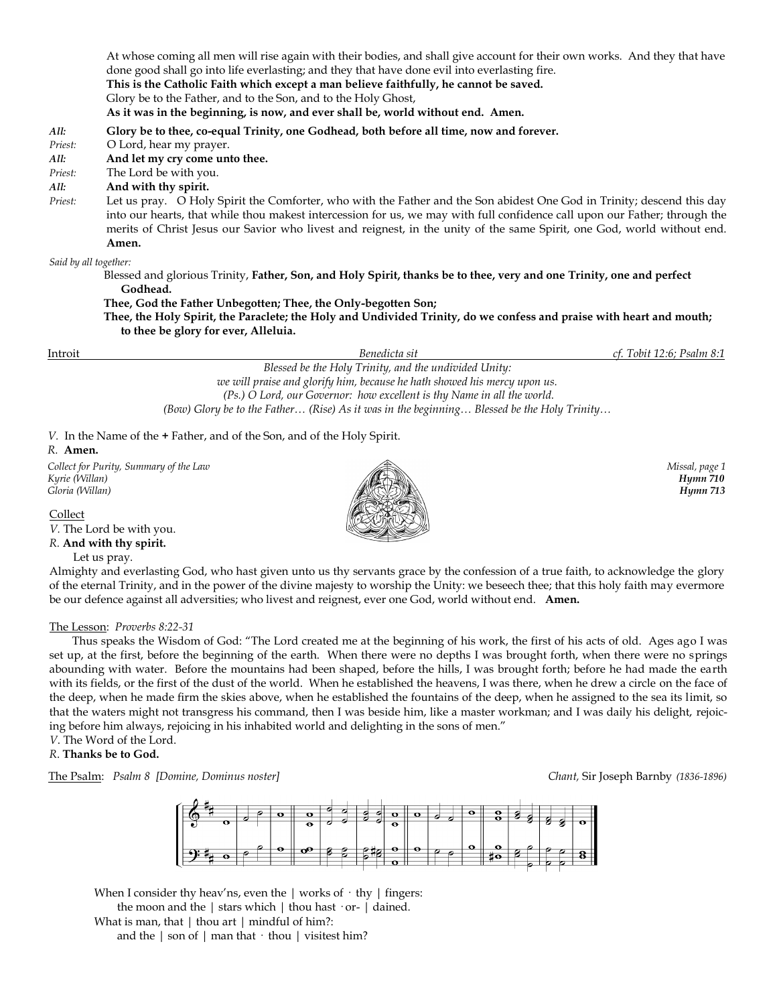At whose coming all men will rise again with their bodies, and shall give account for their own works. And they that have done good shall go into life everlasting; and they that have done evil into everlasting fire. **This is the Catholic Faith which except a man believe faithfully, he cannot be saved.** Glory be to the Father, and to the Son, and to the Holy Ghost, **As it was in the beginning, is now, and ever shall be, world without end. Amen.** *All:* **Glory be to thee, co-equal Trinity, one Godhead, both before all time, now and forever.** *Priest:* O Lord, hear my prayer. *All:* **And let my cry come unto thee.** *Priest:* The Lord be with you. *All:* **And with thy spirit.** *Priest:* Let us pray. O Holy Spirit the Comforter, who with the Father and the Son abidest One God in Trinity; descend this day into our hearts, that while thou makest intercession for us, we may with full confidence call upon our Father; through the merits of Christ Jesus our Savior who livest and reignest, in the unity of the same Spirit, one God, world without end. **Amen.** *Said by all together:* Blessed and glorious Trinity, **Father, Son, and Holy Spirit, thanks be to thee, very and one Trinity, one and perfect Godhead. Thee, God the Father Unbegotten; Thee, the Only-begotten Son;** 

 **Thee, the Holy Spirit, the Paraclete; the Holy and Undivided Trinity, do we confess and praise with heart and mouth; to thee be glory for ever, Alleluia.** 

Introit *Benedicta sit cf. Tobit 12:6; Psalm 8:1 Blessed be the Holy Trinity, and the undivided Unity: we will praise and glorify him, because he hath showed his mercy upon us. (Ps.) O Lord, our Governor: how excellent is thy Name in all the world. (Bow) Glory be to the Father… (Rise) As it was in the beginning… Blessed be the Holy Trinity…*

*V.* In the Name of the **+** Father, and of the Son, and of the Holy Spirit.

#### *R.* **Amen.**

*Collect for Purity, Summary of the Law* Missal, page 1 *Kyrie (Willan) Hymn 710 Gloria (Willan) Hymn 713*

Collect

*V.* The Lord be with you.

*R.* **And with thy spirit.** 

Let us pray.

Almighty and everlasting God, who hast given unto us thy servants grace by the confession of a true faith, to acknowledge the glory of the eternal Trinity, and in the power of the divine majesty to worship the Unity: we beseech thee; that this holy faith may evermore be our defence against all adversities; who livest and reignest, ever one God, world without end. **Amen.**

### The Lesson: *Proverbs 8:22-31*

 Thus speaks the Wisdom of God: "The Lord created me at the beginning of his work, the first of his acts of old. Ages ago I was set up, at the first, before the beginning of the earth. When there were no depths I was brought forth, when there were no springs abounding with water. Before the mountains had been shaped, before the hills, I was brought forth; before he had made the earth with its fields, or the first of the dust of the world. When he established the heavens, I was there, when he drew a circle on the face of the deep, when he made firm the skies above, when he established the fountains of the deep, when he assigned to the sea its limit, so that the waters might not transgress his command, then I was beside him, like a master workman; and I was daily his delight, rejoicing before him always, rejoicing in his inhabited world and delighting in the sons of men."

*V*. The Word of the Lord.

# *R*. **Thanks be to God.**

The Psalm: *Psalm 8 [Domine, Dominus noster] Chant,* Sir Joseph Barnby *(1836-1896)*



When I consider thy heav'ns, even the  $\vert$  works of  $\cdot$  thy  $\vert$  fingers:

 the moon and the | stars which | thou hast · or- | dained. What is man, that | thou art | mindful of him?:

and the  $|$  son of  $|$  man that  $\cdot$  thou  $|$  visitest him?

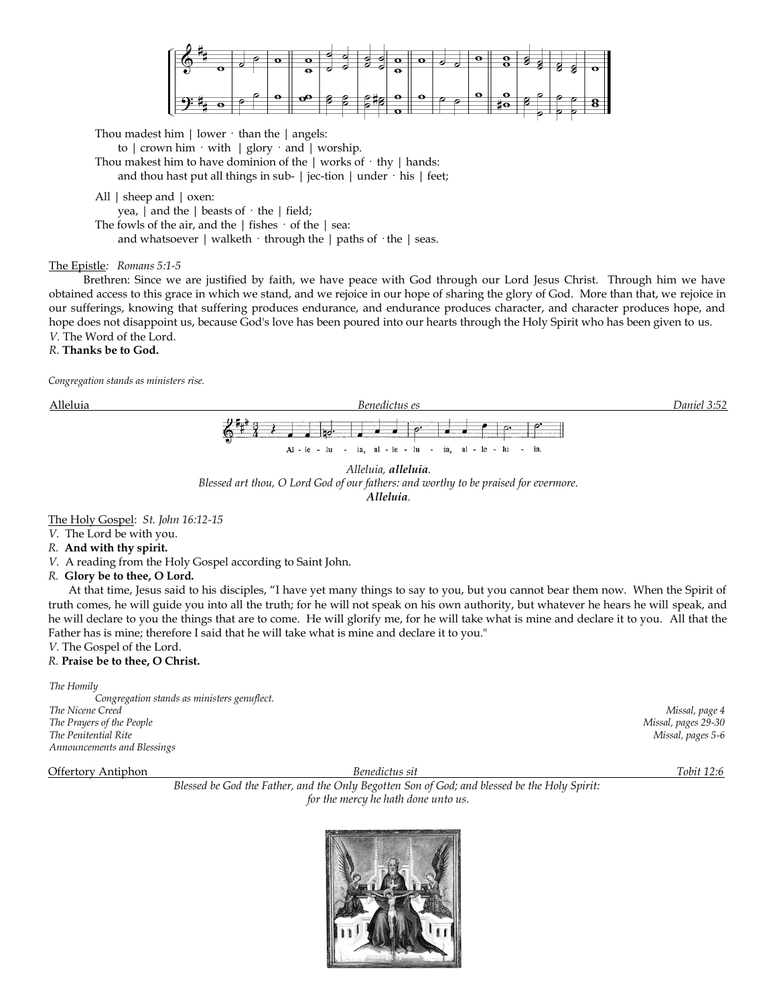

Thou madest him  $\vert$  lower  $\cdot$  than the  $\vert$  angels:

to  $\vert$  crown him  $\cdot$  with  $\vert$  glory  $\cdot$  and  $\vert$  worship. Thou makest him to have dominion of the  $|$  works of  $\cdot$  thy  $|$  hands:

and thou hast put all things in sub-  $|$  jec-tion  $|$  under  $\cdot$  his  $|$  feet;

All | sheep and | oxen:

yea,  $|$  and the  $|$  beasts of  $\cdot$  the  $|$  field;

The fowls of the air, and the  $|$  fishes  $\cdot$  of the  $|$  sea:

and whatsoever  $|$  walketh  $\cdot$  through the  $|$  paths of  $\cdot$  the  $|$  seas.

### The Epistle*: Romans 5:1-5*

Brethren: Since we are justified by faith, we have peace with God through our Lord Jesus Christ. Through him we have obtained access to this grace in which we stand, and we rejoice in our hope of sharing the glory of God. More than that, we rejoice in our sufferings, knowing that suffering produces endurance, and endurance produces character, and character produces hope, and hope does not disappoint us, because God's love has been poured into our hearts through the Holy Spirit who has been given to us. *V.* The Word of the Lord.

# *R.* **Thanks be to God.**

*Congregation stands as ministers rise.* 





*Blessed art thou, O Lord God of our fathers: and worthy to be praised for evermore.* 

*Alleluia.*

The Holy Gospel: *St. John 16:12-15*

*V.* The Lord be with you.

### *R.* **And with thy spirit.**

*V.* A reading from the Holy Gospel according to Saint John.

### *R.* **Glory be to thee, O Lord.**

At that time, Jesus said to his disciples, "I have yet many things to say to you, but you cannot bear them now. When the Spirit of truth comes, he will guide you into all the truth; for he will not speak on his own authority, but whatever he hears he will speak, and he will declare to you the things that are to come. He will glorify me, for he will take what is mine and declare it to you. All that the Father has is mine; therefore I said that he will take what is mine and declare it to you."

### *V.* The Gospel of the Lord. *R.* **Praise be to thee, O Christ.**

*The Homily Congregation stands as ministers genuflect. The Nicene Creed Missal, page 4 The Prayers of the People Missal, pages 29-30 The Penitential Rite Missal, pages 5-6 Announcements and Blessings*

Offertory Antiphon *Benedictus sit Tobit 12:6 Blessed be God the Father, and the Only Begotten Son of God; and blessed be the Holy Spirit: for the mercy he hath done unto us.*